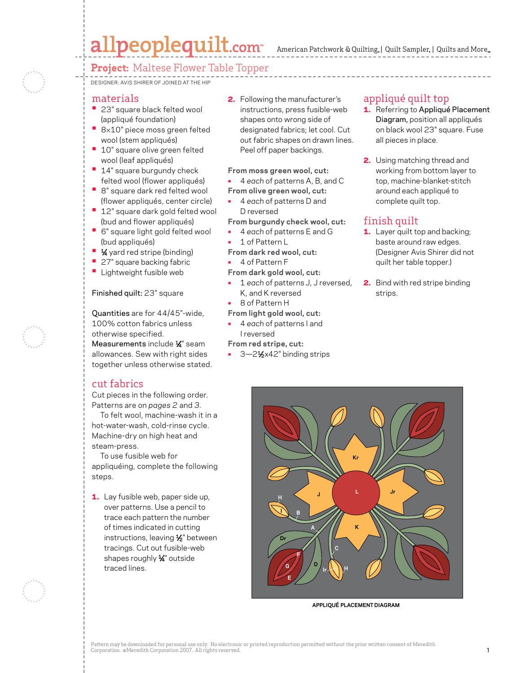# allpeoplequilt.com

American Patchwork & Quilting, | Quilt Sampler, | Quilts and More...

## **Project:** Maltese Flower Table Topper

Designer: Avis Shirer of Joined at the Hip

#### materials

- **•**  23" square black felted wool (appliqué foundation)
- **•**  <sup>8</sup>×10" piece moss green felted wool (stem appliqués)
- **10"** square olive green felted wool (leaf appliqués)
- **14"** square burgundy check felted wool (flower appliqués)
- **•** 8" square dark red felted wool (flower appliqués, center circle)
- **12"** square dark gold felted wool (bud and flower appliqués)
- **•**  6" square light gold felted wool (bud appliqués)
- **1⁄4** yard red stripe (binding)
- **•** 27" square backing fabric
- **•** Lightweight fusible web

#### Finished quilt: 23" square

Quantities are for 44/45"-wide, 100% cotton fabrics unless otherwise specified. Measurements include 1⁄ 4" seam allowances. Sew with right sides together unless otherwise stated.

### cut fabrics

Cut pieces in the following order. Patterns are on *pages 2* and *3.*

 To felt wool, machine-wash it in a hot-water-wash, cold-rinse cycle. Machine-dry on high heat and steam-press.

 To use fusible web for appliquéing, complete the following steps.

1. Lay fusible web, paper side up, over patterns. Use a pencil to trace each pattern the number of times indicated in cutting instructions, leaving 1/2" between tracings. Cut out fusible-web shapes roughly 1⁄ 4" outside traced lines.

2. Following the manufacturer's instructions, press fusible-web shapes onto wrong side of designated fabrics; let cool. Cut out fabric shapes on drawn lines. Peel off paper backings.

**From moss green wool, cut:**

- 4 *each* of patterns A, B, and C
- **From olive green wool, cut:**
	- 4 *each* of patterns D and D reversed
- **From burgundy check wool, cut:**
- 4 *each* of patterns E and G
- 1 of Pattern L
- **From dark red wool, cut:**
- 4 of Pattern F

**From dark gold wool, cut:**

- 1 *each* of patterns J, J reversed, K, and K reversed
- 8 of Pattern H

**From light gold wool, cut:**

• 4 *each* of patterns I and I reversed

**From red stripe, cut:**

3-21/2x42" binding strips

## appliqué quilt top

- 1. Referring to Appliqué Placement Diagram, position all appliqués on black wool 23" square. Fuse all pieces in place.
- 2. Using matching thread and working from bottom layer to top, machine-blanket-stitch around each appliqué to complete quilt top.

## finish quilt

- 1. Layer quilt top and backing; baste around raw edges. (Designer Avis Shirer did not quilt her table topper.)
- **2.** Bind with red stripe binding strips.



**APPLIQUÉ PLACEMENT DIAGRAM**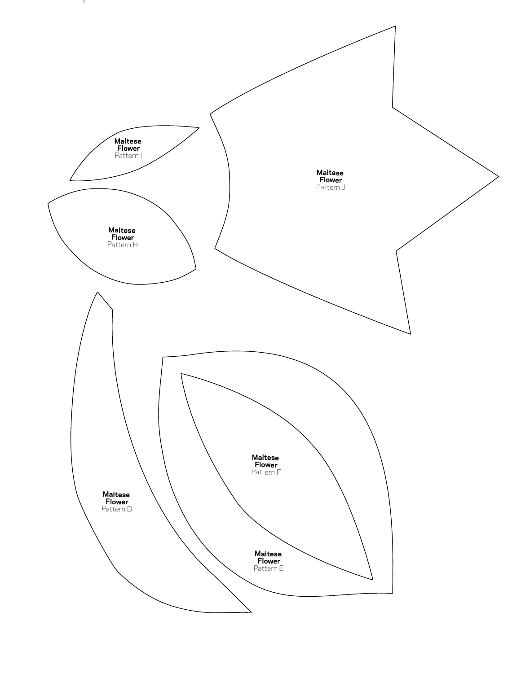